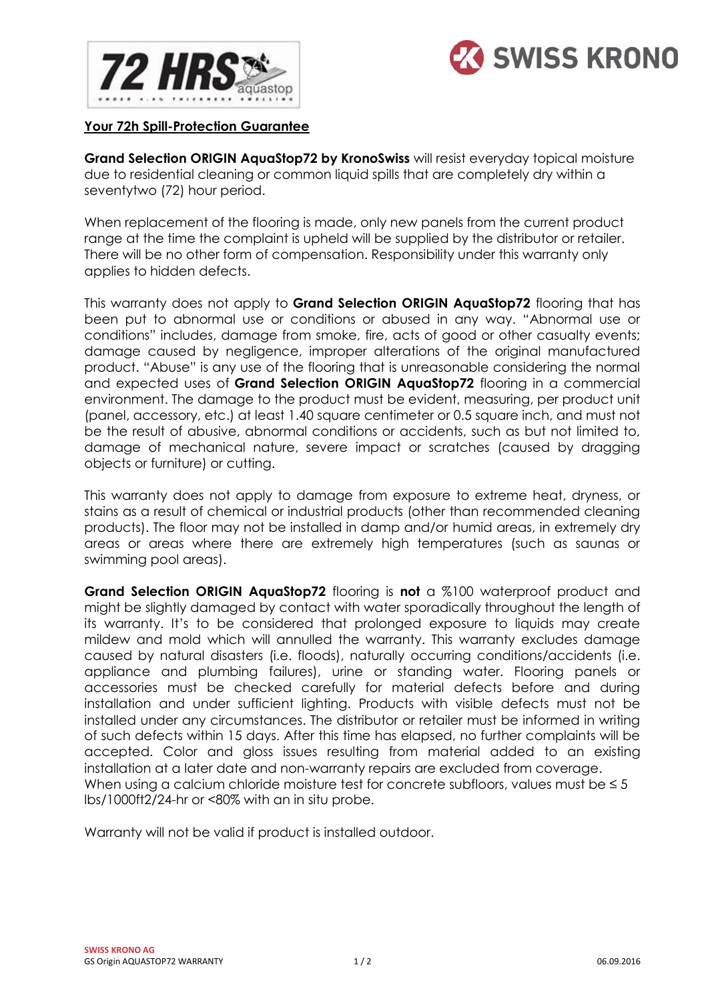



## **Your 72h Spill-Protection Guarantee**

**Grand Selection ORIGIN AquaStop72 by KronoSwiss** will resist everyday topical moisture due to residential cleaning or common liquid spills that are completely dry within a seventytwo (72) hour period.

When replacement of the flooring is made, only new panels from the current product range at the time the complaint is upheld will be supplied by the distributor or retailer. There will be no other form of compensation. Responsibility under this warranty only applies to hidden defects.

This warranty does not apply to **Grand Selection ORIGIN AquaStop72** flooring that has been put to abnormal use or conditions or abused in any way. "Abnormal use or conditions" includes, damage from smoke, fire, acts of good or other casualty events; damage caused by negligence, improper alterations of the original manufactured product. "Abuse" is any use of the flooring that is unreasonable considering the normal and expected uses of **Grand Selection ORIGIN AquaStop72** flooring in a commercial environment. The damage to the product must be evident, measuring, per product unit (panel, accessory, etc.) at least 1.40 square centimeter or 0.5 square inch, and must not be the result of abusive, abnormal conditions or accidents, such as but not limited to, damage of mechanical nature, severe impact or scratches (caused by dragging objects or furniture) or cutting.

This warranty does not apply to damage from exposure to extreme heat, dryness, or stains as a result of chemical or industrial products (other than recommended cleaning products). The floor may not be installed in damp and/or humid areas, in extremely dry areas or areas where there are extremely high temperatures (such as saunas or swimming pool areas).

**Grand Selection ORIGIN AquaStop72** flooring is **not** a %100 waterproof product and might be slightly damaged by contact with water sporadically throughout the length of its warranty. It's to be considered that prolonged exposure to liquids may create mildew and mold which will annulled the warranty. This warranty excludes damage caused by natural disasters (i.e. floods), naturally occurring conditions/accidents (i.e. appliance and plumbing failures), urine or standing water. Flooring panels or accessories must be checked carefully for material defects before and during installation and under sufficient lighting. Products with visible defects must not be installed under any circumstances. The distributor or retailer must be informed in writing of such defects within 15 days. After this time has elapsed, no further complaints will be accepted. Color and gloss issues resulting from material added to an existing installation at a later date and non-warranty repairs are excluded from coverage. When using a calcium chloride moisture test for concrete subfloors, values must be  $\leq 5$ lbs/1000ft2/24-hr or <80% with an in situ probe.

Warranty will not be valid if product is installed outdoor.